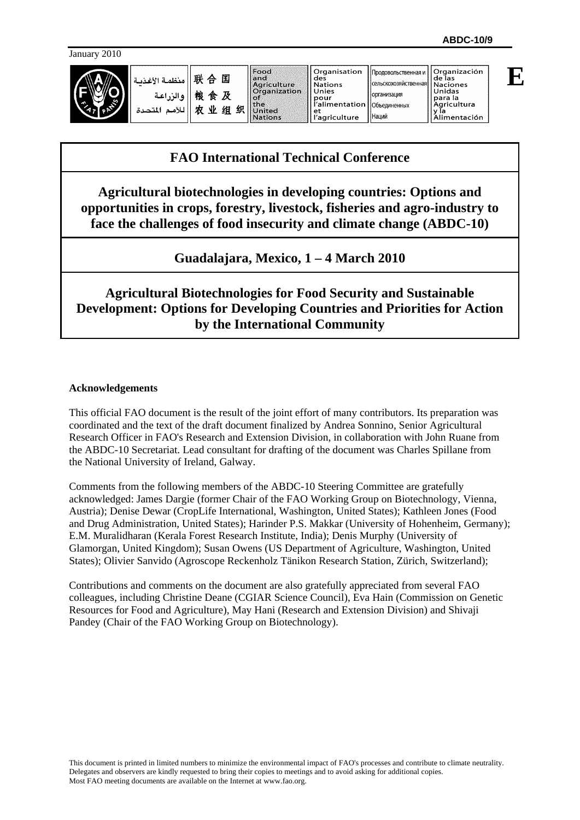**E**

| منظمة الأغذمة<br>ه الن اعية<br>S<br>للأمد<br>لمتحدة | 联<br>国<br>$\Leftrightarrow$<br>粮<br>及<br>食<br>۰W<br>织<br>细<br>カセ | Food<br>lland<br>Aariculture<br>Organization<br><b>FOT</b><br>lithe<br>Inited<br><b>Nations</b> | Organisation<br>des<br><b>Nations</b><br>Unies<br>pour<br>r'alimentation   Объединенных<br>et<br>'agriculture | Продовольственная и<br>- Ісельскохозяйственная   Naciones<br><b>Горганизация</b><br><b>Наций</b> | Organización<br>i de las<br>Unidas<br><b>para</b> la<br>Agricultura<br>Alimentación |
|-----------------------------------------------------|------------------------------------------------------------------|-------------------------------------------------------------------------------------------------|---------------------------------------------------------------------------------------------------------------|--------------------------------------------------------------------------------------------------|-------------------------------------------------------------------------------------|
|-----------------------------------------------------|------------------------------------------------------------------|-------------------------------------------------------------------------------------------------|---------------------------------------------------------------------------------------------------------------|--------------------------------------------------------------------------------------------------|-------------------------------------------------------------------------------------|

# **FAO International Technical Conference**

**Agricultural biotechnologies in developing countries: Options and opportunities in crops, forestry, livestock, fisheries and agro-industry to face the challenges of food insecurity and climate change (ABDC-10)** 

**Guadalajara, Mexico, 1 – 4 March 2010** 

**Agricultural Biotechnologies for Food Security and Sustainable Development: Options for Developing Countries and Priorities for Action by the International Community** 

#### **Acknowledgements**

This official FAO document is the result of the joint effort of many contributors. Its preparation was coordinated and the text of the draft document finalized by Andrea Sonnino, Senior Agricultural Research Officer in FAO's Research and Extension Division, in collaboration with John Ruane from the ABDC-10 Secretariat. Lead consultant for drafting of the document was Charles Spillane from the National University of Ireland, Galway.

Comments from the following members of the ABDC-10 Steering Committee are gratefully acknowledged: James Dargie (former Chair of the FAO Working Group on Biotechnology, Vienna, Austria); Denise Dewar (CropLife International, Washington, United States); Kathleen Jones (Food and Drug Administration, United States); Harinder P.S. Makkar (University of Hohenheim, Germany); E.M. Muralidharan (Kerala Forest Research Institute, India); Denis Murphy (University of Glamorgan, United Kingdom); Susan Owens (US Department of Agriculture, Washington, United States); Olivier Sanvido (Agroscope Reckenholz Tänikon Research Station, Zürich, Switzerland);

Contributions and comments on the document are also gratefully appreciated from several FAO colleagues, including Christine Deane (CGIAR Science Council), Eva Hain (Commission on Genetic Resources for Food and Agriculture), May Hani (Research and Extension Division) and Shivaji Pandey (Chair of the FAO Working Group on Biotechnology).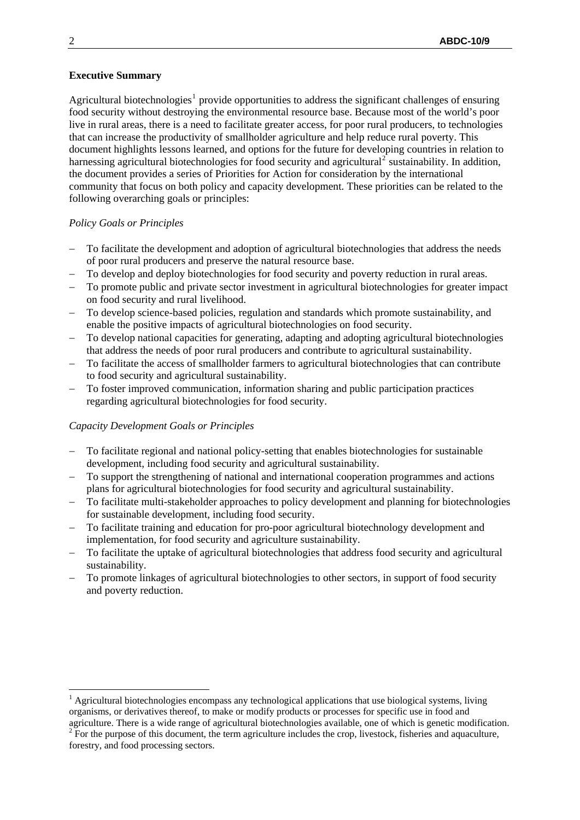#### **Executive Summary**

Agricultural biotechnologies<sup>[1](#page-1-0)</sup> provide opportunities to address the significant challenges of ensuring food security without destroying the environmental resource base. Because most of the world's poor live in rural areas, there is a need to facilitate greater access, for poor rural producers, to technologies that can increase the productivity of smallholder agriculture and help reduce rural poverty. This document highlights lessons learned, and options for the future for developing countries in relation to harnessing agricultural biotechnologies for food security and agricultural<sup>[2](#page-1-1)</sup> sustainability. In addition, the document provides a series of Priorities for Action for consideration by the international community that focus on both policy and capacity development. These priorities can be related to the following overarching goals or principles:

#### *Policy Goals or Principles*

- To facilitate the development and adoption of agricultural biotechnologies that address the needs of poor rural producers and preserve the natural resource base.
- To develop and deploy biotechnologies for food security and poverty reduction in rural areas.
- To promote public and private sector investment in agricultural biotechnologies for greater impact on food security and rural livelihood.
- To develop science-based policies, regulation and standards which promote sustainability, and enable the positive impacts of agricultural biotechnologies on food security.
- To develop national capacities for generating, adapting and adopting agricultural biotechnologies that address the needs of poor rural producers and contribute to agricultural sustainability.
- To facilitate the access of smallholder farmers to agricultural biotechnologies that can contribute to food security and agricultural sustainability.
- To foster improved communication, information sharing and public participation practices regarding agricultural biotechnologies for food security.

#### *Capacity Development Goals or Principles*

- To facilitate regional and national policy-setting that enables biotechnologies for sustainable development, including food security and agricultural sustainability.
- To support the strengthening of national and international cooperation programmes and actions plans for agricultural biotechnologies for food security and agricultural sustainability.
- To facilitate multi-stakeholder approaches to policy development and planning for biotechnologies for sustainable development, including food security.
- To facilitate training and education for pro-poor agricultural biotechnology development and implementation, for food security and agriculture sustainability.
- To facilitate the uptake of agricultural biotechnologies that address food security and agricultural sustainability.
- To promote linkages of agricultural biotechnologies to other sectors, in support of food security and poverty reduction.

<span id="page-1-1"></span> $2^{2}$  For the purpose of this document, the term agriculture includes the crop, livestock, fisheries and aquaculture, forestry, and food processing sectors.

<u>.</u>

<span id="page-1-0"></span> $<sup>1</sup>$  Agricultural biotechnologies encompass any technological applications that use biological systems, living</sup> organisms, or derivatives thereof, to make or modify products or processes for specific use in food and agriculture. There is a wide range of agricultural biotechnologies available, one of which is genetic modification.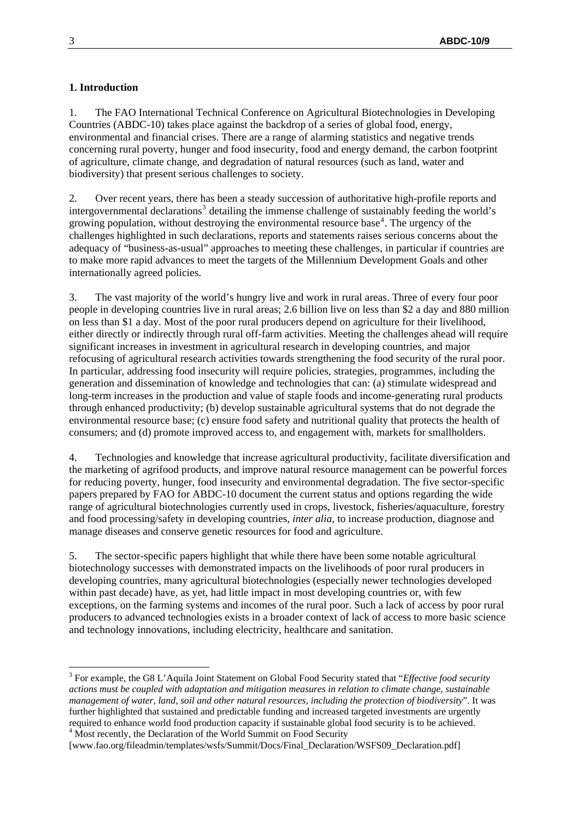#### **1. Introduction**

1. The FAO International Technical Conference on Agricultural Biotechnologies in Developing Countries (ABDC-10) takes place against the backdrop of a series of global food, energy, environmental and financial crises. There are a range of alarming statistics and negative trends concerning rural poverty, hunger and food insecurity, food and energy demand, the carbon footprint of agriculture, climate change, and degradation of natural resources (such as land, water and biodiversity) that present serious challenges to society.

2. Over recent years, there has been a steady succession of authoritative high-profile reports and intergovernmental declarations<sup>[3](#page-2-0)</sup> detailing the immense challenge of sustainably feeding the world's growing population, without destroying the environmental resource base<sup>[4](#page-2-1)</sup>. The urgency of the challenges highlighted in such declarations, reports and statements raises serious concerns about the adequacy of "business-as-usual" approaches to meeting these challenges, in particular if countries are to make more rapid advances to meet the targets of the Millennium Development Goals and other internationally agreed policies.

3. The vast majority of the world's hungry live and work in rural areas. Three of every four poor people in developing countries live in rural areas; 2.6 billion live on less than \$2 a day and 880 million on less than \$1 a day. Most of the poor rural producers depend on agriculture for their livelihood, either directly or indirectly through rural off-farm activities. Meeting the challenges ahead will require significant increases in investment in agricultural research in developing countries, and major refocusing of agricultural research activities towards strengthening the food security of the rural poor. In particular, addressing food insecurity will require policies, strategies, programmes, including the generation and dissemination of knowledge and technologies that can: (a) stimulate widespread and long-term increases in the production and value of staple foods and income-generating rural products through enhanced productivity; (b) develop sustainable agricultural systems that do not degrade the environmental resource base; (c) ensure food safety and nutritional quality that protects the health of consumers; and (d) promote improved access to, and engagement with, markets for smallholders.

4. Technologies and knowledge that increase agricultural productivity, facilitate diversification and the marketing of agrifood products, and improve natural resource management can be powerful forces for reducing poverty, hunger, food insecurity and environmental degradation. The five sector-specific papers prepared by FAO for ABDC-10 document the current status and options regarding the wide range of agricultural biotechnologies currently used in crops, livestock, fisheries/aquaculture, forestry and food processing/safety in developing countries, *inter alia*, to increase production, diagnose and manage diseases and conserve genetic resources for food and agriculture.

5. The sector-specific papers highlight that while there have been some notable agricultural biotechnology successes with demonstrated impacts on the livelihoods of poor rural producers in developing countries, many agricultural biotechnologies (especially newer technologies developed within past decade) have, as yet, had little impact in most developing countries or, with few exceptions, on the farming systems and incomes of the rural poor. Such a lack of access by poor rural producers to advanced technologies exists in a broader context of lack of access to more basic science and technology innovations, including electricity, healthcare and sanitation.

1

<span id="page-2-0"></span><sup>3</sup> For example, the G8 L'Aquila Joint Statement on Global Food Security stated that "*Effective food security actions must be coupled with adaptation and mitigation measures in relation to climate change, sustainable management of water, land, soil and other natural resources, including the protection of biodiversity*". It was further highlighted that sustained and predictable funding and increased targeted investments are urgently required to enhance world food production capacity if sustainable global food security is to be achieved. 4  $4$  Most recently, the Declaration of the World Summit on Food Security

<span id="page-2-1"></span><sup>[</sup>www.fao.org/fileadmin/templates/wsfs/Summit/Docs/Final\_Declaration/WSFS09\_Declaration.pdf]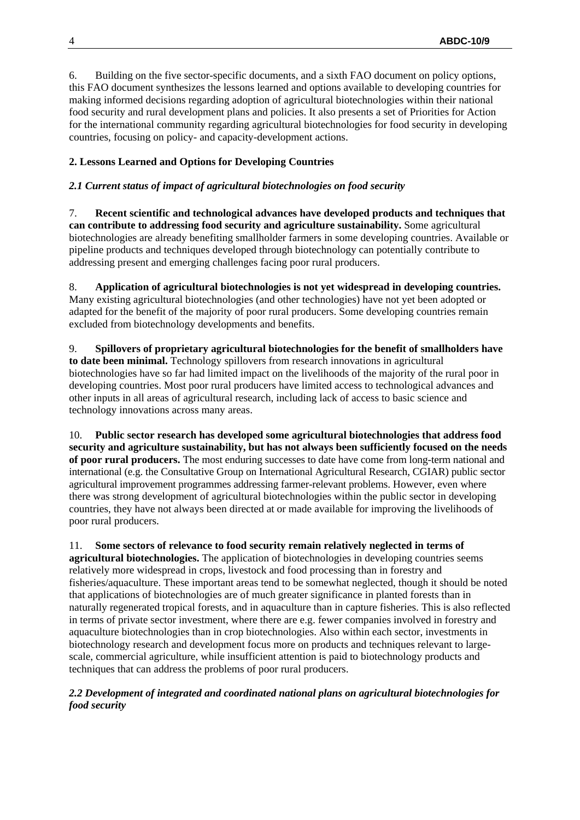6. Building on the five sector-specific documents, and a sixth FAO document on policy options, this FAO document synthesizes the lessons learned and options available to developing countries for making informed decisions regarding adoption of agricultural biotechnologies within their national food security and rural development plans and policies. It also presents a set of Priorities for Action for the international community regarding agricultural biotechnologies for food security in developing countries, focusing on policy- and capacity-development actions.

# **2. Lessons Learned and Options for Developing Countries**

### *2.1 Current status of impact of agricultural biotechnologies on food security*

7. **Recent scientific and technological advances have developed products and techniques that can contribute to addressing food security and agriculture sustainability.** Some agricultural biotechnologies are already benefiting smallholder farmers in some developing countries. Available or pipeline products and techniques developed through biotechnology can potentially contribute to addressing present and emerging challenges facing poor rural producers.

8. **Application of agricultural biotechnologies is not yet widespread in developing countries.** Many existing agricultural biotechnologies (and other technologies) have not yet been adopted or adapted for the benefit of the majority of poor rural producers. Some developing countries remain excluded from biotechnology developments and benefits.

9. **Spillovers of proprietary agricultural biotechnologies for the benefit of smallholders have to date been minimal.** Technology spillovers from research innovations in agricultural biotechnologies have so far had limited impact on the livelihoods of the majority of the rural poor in developing countries. Most poor rural producers have limited access to technological advances and other inputs in all areas of agricultural research, including lack of access to basic science and technology innovations across many areas.

10. **Public sector research has developed some agricultural biotechnologies that address food security and agriculture sustainability, but has not always been sufficiently focused on the needs of poor rural producers.** The most enduring successes to date have come from long-term national and international (e.g. the Consultative Group on International Agricultural Research, CGIAR) public sector agricultural improvement programmes addressing farmer-relevant problems. However, even where there was strong development of agricultural biotechnologies within the public sector in developing countries, they have not always been directed at or made available for improving the livelihoods of poor rural producers.

11. **Some sectors of relevance to food security remain relatively neglected in terms of agricultural biotechnologies.** The application of biotechnologies in developing countries seems relatively more widespread in crops, livestock and food processing than in forestry and fisheries/aquaculture. These important areas tend to be somewhat neglected, though it should be noted that applications of biotechnologies are of much greater significance in planted forests than in naturally regenerated tropical forests, and in aquaculture than in capture fisheries. This is also reflected in terms of private sector investment, where there are e.g. fewer companies involved in forestry and aquaculture biotechnologies than in crop biotechnologies. Also within each sector, investments in biotechnology research and development focus more on products and techniques relevant to largescale, commercial agriculture, while insufficient attention is paid to biotechnology products and techniques that can address the problems of poor rural producers.

# *2.2 Development of integrated and coordinated national plans on agricultural biotechnologies for food security*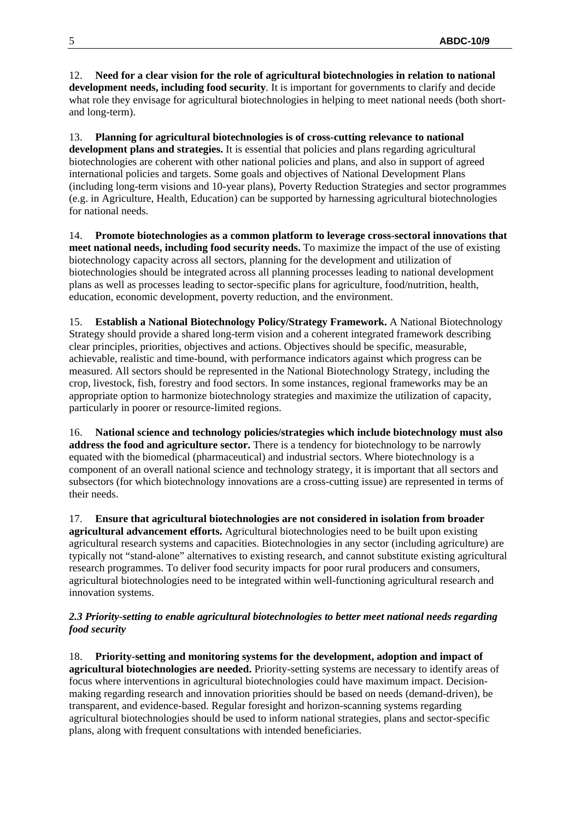12. **Need for a clear vision for the role of agricultural biotechnologies in relation to national development needs, including food security**. It is important for governments to clarify and decide what role they envisage for agricultural biotechnologies in helping to meet national needs (both shortand long-term).

13. **Planning for agricultural biotechnologies is of cross-cutting relevance to national development plans and strategies.** It is essential that policies and plans regarding agricultural biotechnologies are coherent with other national policies and plans, and also in support of agreed international policies and targets. Some goals and objectives of National Development Plans (including long-term visions and 10-year plans), Poverty Reduction Strategies and sector programmes (e.g. in Agriculture, Health, Education) can be supported by harnessing agricultural biotechnologies for national needs.

14. **Promote biotechnologies as a common platform to leverage cross-sectoral innovations that meet national needs, including food security needs.** To maximize the impact of the use of existing biotechnology capacity across all sectors, planning for the development and utilization of biotechnologies should be integrated across all planning processes leading to national development plans as well as processes leading to sector-specific plans for agriculture, food/nutrition, health, education, economic development, poverty reduction, and the environment.

15. **Establish a National Biotechnology Policy/Strategy Framework.** A National Biotechnology Strategy should provide a shared long-term vision and a coherent integrated framework describing clear principles, priorities, objectives and actions. Objectives should be specific, measurable, achievable, realistic and time-bound, with performance indicators against which progress can be measured. All sectors should be represented in the National Biotechnology Strategy, including the crop, livestock, fish, forestry and food sectors. In some instances, regional frameworks may be an appropriate option to harmonize biotechnology strategies and maximize the utilization of capacity, particularly in poorer or resource-limited regions.

16. **National science and technology policies/strategies which include biotechnology must also address the food and agriculture sector.** There is a tendency for biotechnology to be narrowly equated with the biomedical (pharmaceutical) and industrial sectors. Where biotechnology is a component of an overall national science and technology strategy, it is important that all sectors and subsectors (for which biotechnology innovations are a cross-cutting issue) are represented in terms of their needs.

17. **Ensure that agricultural biotechnologies are not considered in isolation from broader agricultural advancement efforts.** Agricultural biotechnologies need to be built upon existing agricultural research systems and capacities. Biotechnologies in any sector (including agriculture) are typically not "stand-alone" alternatives to existing research, and cannot substitute existing agricultural research programmes. To deliver food security impacts for poor rural producers and consumers, agricultural biotechnologies need to be integrated within well-functioning agricultural research and innovation systems.

# *2.3 Priority-setting to enable agricultural biotechnologies to better meet national needs regarding food security*

18. **Priority-setting and monitoring systems for the development, adoption and impact of agricultural biotechnologies are needed.** Priority-setting systems are necessary to identify areas of focus where interventions in agricultural biotechnologies could have maximum impact. Decisionmaking regarding research and innovation priorities should be based on needs (demand-driven), be transparent, and evidence-based. Regular foresight and horizon-scanning systems regarding agricultural biotechnologies should be used to inform national strategies, plans and sector-specific plans, along with frequent consultations with intended beneficiaries.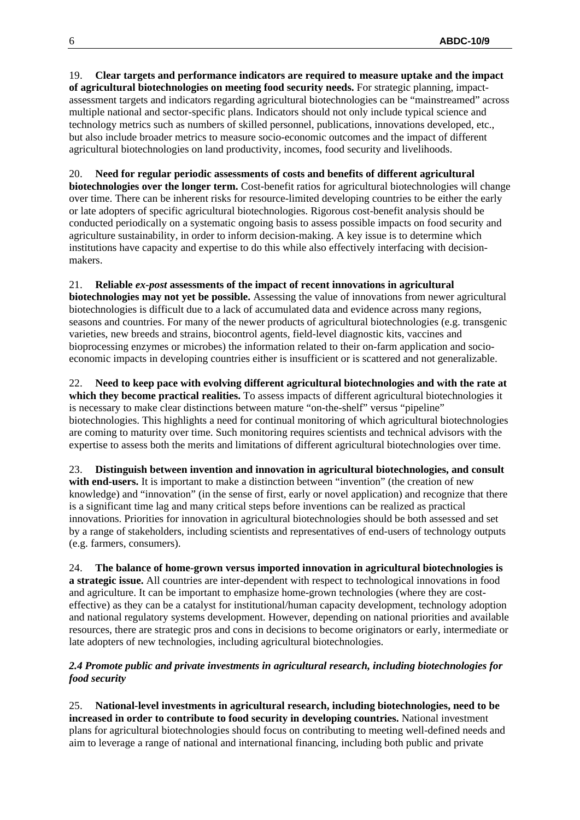19. **Clear targets and performance indicators are required to measure uptake and the impact of agricultural biotechnologies on meeting food security needs.** For strategic planning, impactassessment targets and indicators regarding agricultural biotechnologies can be "mainstreamed" across multiple national and sector-specific plans. Indicators should not only include typical science and technology metrics such as numbers of skilled personnel, publications, innovations developed, etc., but also include broader metrics to measure socio-economic outcomes and the impact of different agricultural biotechnologies on land productivity, incomes, food security and livelihoods.

20. **Need for regular periodic assessments of costs and benefits of different agricultural biotechnologies over the longer term.** Cost-benefit ratios for agricultural biotechnologies will change over time. There can be inherent risks for resource-limited developing countries to be either the early or late adopters of specific agricultural biotechnologies. Rigorous cost-benefit analysis should be conducted periodically on a systematic ongoing basis to assess possible impacts on food security and agriculture sustainability, in order to inform decision-making. A key issue is to determine which institutions have capacity and expertise to do this while also effectively interfacing with decisionmakers.

# 21. **Reliable** *ex-post* **assessments of the impact of recent innovations in agricultural**

**biotechnologies may not yet be possible.** Assessing the value of innovations from newer agricultural biotechnologies is difficult due to a lack of accumulated data and evidence across many regions, seasons and countries. For many of the newer products of agricultural biotechnologies (e.g. transgenic varieties, new breeds and strains, biocontrol agents, field-level diagnostic kits, vaccines and bioprocessing enzymes or microbes) the information related to their on-farm application and socioeconomic impacts in developing countries either is insufficient or is scattered and not generalizable.

22. **Need to keep pace with evolving different agricultural biotechnologies and with the rate at which they become practical realities.** To assess impacts of different agricultural biotechnologies it is necessary to make clear distinctions between mature "on-the-shelf" versus "pipeline" biotechnologies. This highlights a need for continual monitoring of which agricultural biotechnologies are coming to maturity over time. Such monitoring requires scientists and technical advisors with the expertise to assess both the merits and limitations of different agricultural biotechnologies over time.

23. **Distinguish between invention and innovation in agricultural biotechnologies, and consult**  with end-users. It is important to make a distinction between "invention" (the creation of new knowledge) and "innovation" (in the sense of first, early or novel application) and recognize that there is a significant time lag and many critical steps before inventions can be realized as practical innovations. Priorities for innovation in agricultural biotechnologies should be both assessed and set by a range of stakeholders, including scientists and representatives of end-users of technology outputs (e.g. farmers, consumers).

24. **The balance of home-grown versus imported innovation in agricultural biotechnologies is a strategic issue.** All countries are inter-dependent with respect to technological innovations in food and agriculture. It can be important to emphasize home-grown technologies (where they are costeffective) as they can be a catalyst for institutional/human capacity development, technology adoption and national regulatory systems development. However, depending on national priorities and available resources, there are strategic pros and cons in decisions to become originators or early, intermediate or late adopters of new technologies, including agricultural biotechnologies.

#### *2.4 Promote public and private investments in agricultural research, including biotechnologies for food security*

25. **National-level investments in agricultural research, including biotechnologies, need to be increased in order to contribute to food security in developing countries.** National investment plans for agricultural biotechnologies should focus on contributing to meeting well-defined needs and aim to leverage a range of national and international financing, including both public and private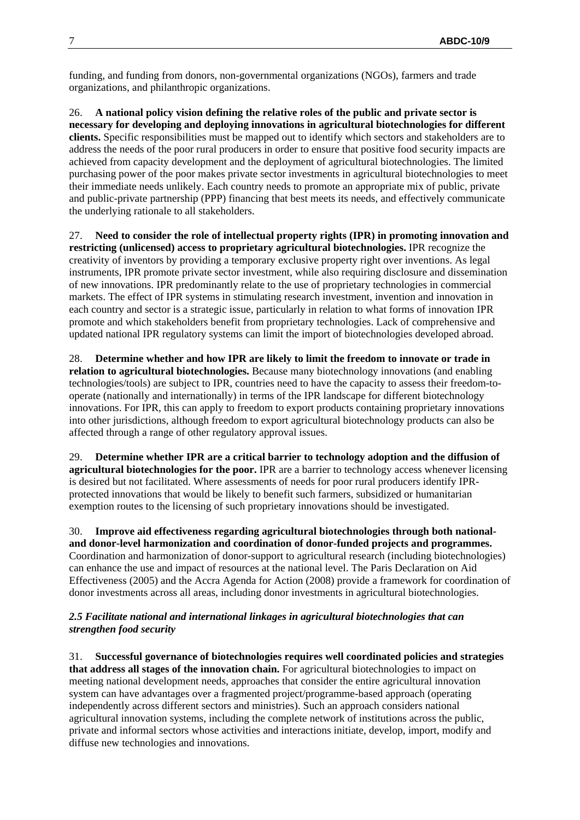funding, and funding from donors, non-governmental organizations (NGOs), farmers and trade organizations, and philanthropic organizations.

26. **A national policy vision defining the relative roles of the public and private sector is necessary for developing and deploying innovations in agricultural biotechnologies for different clients.** Specific responsibilities must be mapped out to identify which sectors and stakeholders are to address the needs of the poor rural producers in order to ensure that positive food security impacts are achieved from capacity development and the deployment of agricultural biotechnologies. The limited purchasing power of the poor makes private sector investments in agricultural biotechnologies to meet their immediate needs unlikely. Each country needs to promote an appropriate mix of public, private and public-private partnership (PPP) financing that best meets its needs, and effectively communicate the underlying rationale to all stakeholders.

27. **Need to consider the role of intellectual property rights (IPR) in promoting innovation and restricting (unlicensed) access to proprietary agricultural biotechnologies.** IPR recognize the creativity of inventors by providing a temporary exclusive property right over inventions. As legal instruments, IPR promote private sector investment, while also requiring disclosure and dissemination of new innovations. IPR predominantly relate to the use of proprietary technologies in commercial markets. The effect of IPR systems in stimulating research investment, invention and innovation in each country and sector is a strategic issue, particularly in relation to what forms of innovation IPR promote and which stakeholders benefit from proprietary technologies. Lack of comprehensive and updated national IPR regulatory systems can limit the import of biotechnologies developed abroad.

28. **Determine whether and how IPR are likely to limit the freedom to innovate or trade in relation to agricultural biotechnologies.** Because many biotechnology innovations (and enabling technologies/tools) are subject to IPR, countries need to have the capacity to assess their freedom-tooperate (nationally and internationally) in terms of the IPR landscape for different biotechnology innovations. For IPR, this can apply to freedom to export products containing proprietary innovations into other jurisdictions, although freedom to export agricultural biotechnology products can also be affected through a range of other regulatory approval issues.

29. **Determine whether IPR are a critical barrier to technology adoption and the diffusion of agricultural biotechnologies for the poor.** IPR are a barrier to technology access whenever licensing is desired but not facilitated. Where assessments of needs for poor rural producers identify IPRprotected innovations that would be likely to benefit such farmers, subsidized or humanitarian exemption routes to the licensing of such proprietary innovations should be investigated.

30. **Improve aid effectiveness regarding agricultural biotechnologies through both nationaland donor-level harmonization and coordination of donor-funded projects and programmes.**  Coordination and harmonization of donor-support to agricultural research (including biotechnologies) can enhance the use and impact of resources at the national level. The Paris Declaration on Aid Effectiveness (2005) and the Accra Agenda for Action (2008) provide a framework for coordination of donor investments across all areas, including donor investments in agricultural biotechnologies.

# *2.5 Facilitate national and international linkages in agricultural biotechnologies that can strengthen food security*

31. **Successful governance of biotechnologies requires well coordinated policies and strategies that address all stages of the innovation chain.** For agricultural biotechnologies to impact on meeting national development needs, approaches that consider the entire agricultural innovation system can have advantages over a fragmented project/programme-based approach (operating independently across different sectors and ministries). Such an approach considers national agricultural innovation systems, including the complete network of institutions across the public, private and informal sectors whose activities and interactions initiate, develop, import, modify and diffuse new technologies and innovations.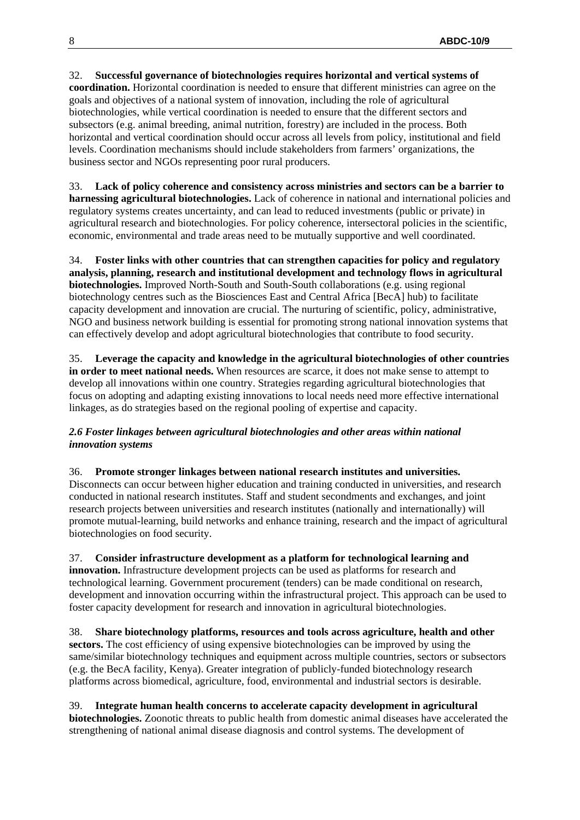#### 32. **Successful governance of biotechnologies requires horizontal and vertical systems of coordination.** Horizontal coordination is needed to ensure that different ministries can agree on the goals and objectives of a national system of innovation, including the role of agricultural biotechnologies, while vertical coordination is needed to ensure that the different sectors and subsectors (e.g. animal breeding, animal nutrition, forestry) are included in the process. Both horizontal and vertical coordination should occur across all levels from policy, institutional and field levels. Coordination mechanisms should include stakeholders from farmers' organizations, the business sector and NGOs representing poor rural producers.

33. **Lack of policy coherence and consistency across ministries and sectors can be a barrier to harnessing agricultural biotechnologies.** Lack of coherence in national and international policies and regulatory systems creates uncertainty, and can lead to reduced investments (public or private) in agricultural research and biotechnologies. For policy coherence, intersectoral policies in the scientific, economic, environmental and trade areas need to be mutually supportive and well coordinated.

34. **Foster links with other countries that can strengthen capacities for policy and regulatory analysis, planning, research and institutional development and technology flows in agricultural biotechnologies.** Improved North-South and South-South collaborations (e.g. using regional biotechnology centres such as the Biosciences East and Central Africa [BecA] hub) to facilitate capacity development and innovation are crucial. The nurturing of scientific, policy, administrative, NGO and business network building is essential for promoting strong national innovation systems that can effectively develop and adopt agricultural biotechnologies that contribute to food security.

35. **Leverage the capacity and knowledge in the agricultural biotechnologies of other countries in order to meet national needs.** When resources are scarce, it does not make sense to attempt to develop all innovations within one country. Strategies regarding agricultural biotechnologies that focus on adopting and adapting existing innovations to local needs need more effective international linkages, as do strategies based on the regional pooling of expertise and capacity.

# *2.6 Foster linkages between agricultural biotechnologies and other areas within national innovation systems*

#### 36. **Promote stronger linkages between national research institutes and universities.**

Disconnects can occur between higher education and training conducted in universities, and research conducted in national research institutes. Staff and student secondments and exchanges, and joint research projects between universities and research institutes (nationally and internationally) will promote mutual-learning, build networks and enhance training, research and the impact of agricultural biotechnologies on food security.

# 37. **Consider infrastructure development as a platform for technological learning and**

**innovation.** Infrastructure development projects can be used as platforms for research and technological learning. Government procurement (tenders) can be made conditional on research, development and innovation occurring within the infrastructural project. This approach can be used to foster capacity development for research and innovation in agricultural biotechnologies.

38. **Share biotechnology platforms, resources and tools across agriculture, health and other**  sectors. The cost efficiency of using expensive biotechnologies can be improved by using the same/similar biotechnology techniques and equipment across multiple countries, sectors or subsectors (e.g. the BecA facility, Kenya). Greater integration of publicly-funded biotechnology research platforms across biomedical, agriculture, food, environmental and industrial sectors is desirable.

39. **Integrate human health concerns to accelerate capacity development in agricultural biotechnologies.** Zoonotic threats to public health from domestic animal diseases have accelerated the strengthening of national animal disease diagnosis and control systems. The development of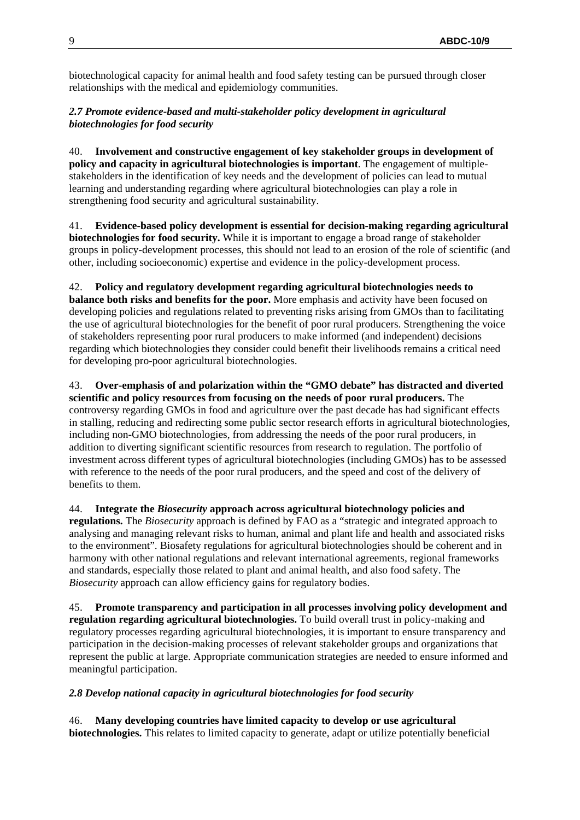biotechnological capacity for animal health and food safety testing can be pursued through closer relationships with the medical and epidemiology communities.

# *2.7 Promote evidence-based and multi-stakeholder policy development in agricultural biotechnologies for food security*

40. **Involvement and constructive engagement of key stakeholder groups in development of policy and capacity in agricultural biotechnologies is important**. The engagement of multiplestakeholders in the identification of key needs and the development of policies can lead to mutual learning and understanding regarding where agricultural biotechnologies can play a role in strengthening food security and agricultural sustainability.

41. **Evidence-based policy development is essential for decision-making regarding agricultural biotechnologies for food security.** While it is important to engage a broad range of stakeholder groups in policy-development processes, this should not lead to an erosion of the role of scientific (and other, including socioeconomic) expertise and evidence in the policy-development process.

# 42. **Policy and regulatory development regarding agricultural biotechnologies needs to**

**balance both risks and benefits for the poor.** More emphasis and activity have been focused on developing policies and regulations related to preventing risks arising from GMOs than to facilitating the use of agricultural biotechnologies for the benefit of poor rural producers. Strengthening the voice of stakeholders representing poor rural producers to make informed (and independent) decisions regarding which biotechnologies they consider could benefit their livelihoods remains a critical need for developing pro-poor agricultural biotechnologies.

### 43. **Over-emphasis of and polarization within the "GMO debate" has distracted and diverted scientific and policy resources from focusing on the needs of poor rural producers.** The controversy regarding GMOs in food and agriculture over the past decade has had significant effects in stalling, reducing and redirecting some public sector research efforts in agricultural biotechnologies, including non-GMO biotechnologies, from addressing the needs of the poor rural producers, in addition to diverting significant scientific resources from research to regulation. The portfolio of investment across different types of agricultural biotechnologies (including GMOs) has to be assessed with reference to the needs of the poor rural producers, and the speed and cost of the delivery of benefits to them.

44. **Integrate the** *Biosecurity* **approach across agricultural biotechnology policies and regulations.** The *Biosecurity* approach is defined by FAO as a "strategic and integrated approach to analysing and managing relevant risks to human, animal and plant life and health and associated risks to the environment". Biosafety regulations for agricultural biotechnologies should be coherent and in harmony with other national regulations and relevant international agreements, regional frameworks and standards, especially those related to plant and animal health, and also food safety. The *Biosecurity* approach can allow efficiency gains for regulatory bodies.

45. **Promote transparency and participation in all processes involving policy development and regulation regarding agricultural biotechnologies.** To build overall trust in policy-making and regulatory processes regarding agricultural biotechnologies, it is important to ensure transparency and participation in the decision-making processes of relevant stakeholder groups and organizations that represent the public at large. Appropriate communication strategies are needed to ensure informed and meaningful participation.

#### *2.8 Develop national capacity in agricultural biotechnologies for food security*

46. **Many developing countries have limited capacity to develop or use agricultural biotechnologies.** This relates to limited capacity to generate, adapt or utilize potentially beneficial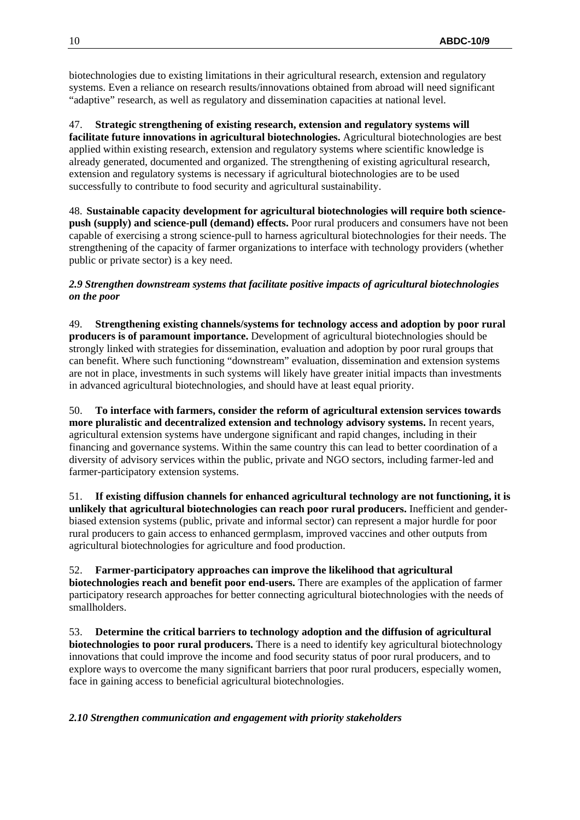biotechnologies due to existing limitations in their agricultural research, extension and regulatory systems. Even a reliance on research results/innovations obtained from abroad will need significant "adaptive" research, as well as regulatory and dissemination capacities at national level.

47. **Strategic strengthening of existing research, extension and regulatory systems will facilitate future innovations in agricultural biotechnologies.** Agricultural biotechnologies are best applied within existing research, extension and regulatory systems where scientific knowledge is already generated, documented and organized. The strengthening of existing agricultural research, extension and regulatory systems is necessary if agricultural biotechnologies are to be used successfully to contribute to food security and agricultural sustainability.

48. **Sustainable capacity development for agricultural biotechnologies will require both sciencepush (supply) and science-pull (demand) effects.** Poor rural producers and consumers have not been capable of exercising a strong science-pull to harness agricultural biotechnologies for their needs. The strengthening of the capacity of farmer organizations to interface with technology providers (whether public or private sector) is a key need.

# *2.9 Strengthen downstream systems that facilitate positive impacts of agricultural biotechnologies on the poor*

49. **Strengthening existing channels/systems for technology access and adoption by poor rural producers is of paramount importance.** Development of agricultural biotechnologies should be strongly linked with strategies for dissemination, evaluation and adoption by poor rural groups that can benefit. Where such functioning "downstream" evaluation, dissemination and extension systems are not in place, investments in such systems will likely have greater initial impacts than investments in advanced agricultural biotechnologies, and should have at least equal priority.

50. **To interface with farmers, consider the reform of agricultural extension services towards more pluralistic and decentralized extension and technology advisory systems.** In recent years, agricultural extension systems have undergone significant and rapid changes, including in their financing and governance systems. Within the same country this can lead to better coordination of a diversity of advisory services within the public, private and NGO sectors, including farmer-led and farmer-participatory extension systems.

51. **If existing diffusion channels for enhanced agricultural technology are not functioning, it is unlikely that agricultural biotechnologies can reach poor rural producers.** Inefficient and genderbiased extension systems (public, private and informal sector) can represent a major hurdle for poor rural producers to gain access to enhanced germplasm, improved vaccines and other outputs from agricultural biotechnologies for agriculture and food production.

52. **Farmer-participatory approaches can improve the likelihood that agricultural biotechnologies reach and benefit poor end-users.** There are examples of the application of farmer participatory research approaches for better connecting agricultural biotechnologies with the needs of smallholders.

53. **Determine the critical barriers to technology adoption and the diffusion of agricultural biotechnologies to poor rural producers.** There is a need to identify key agricultural biotechnology innovations that could improve the income and food security status of poor rural producers, and to explore ways to overcome the many significant barriers that poor rural producers, especially women, face in gaining access to beneficial agricultural biotechnologies.

*2.10 Strengthen communication and engagement with priority stakeholders*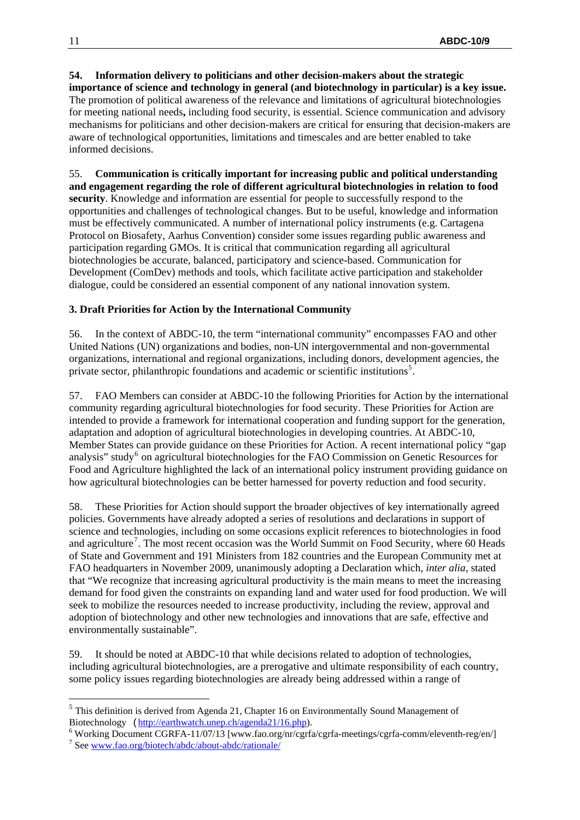**54. Information delivery to politicians and other decision-makers about the strategic importance of science and technology in general (and biotechnology in particular) is a key issue.**  The promotion of political awareness of the relevance and limitations of agricultural biotechnologies for meeting national needs**,** including food security, is essential. Science communication and advisory mechanisms for politicians and other decision-makers are critical for ensuring that decision-makers are aware of technological opportunities, limitations and timescales and are better enabled to take informed decisions.

55. **Communication is critically important for increasing public and political understanding and engagement regarding the role of different agricultural biotechnologies in relation to food security**. Knowledge and information are essential for people to successfully respond to the opportunities and challenges of technological changes. But to be useful, knowledge and information must be effectively communicated. A number of international policy instruments (e.g. Cartagena Protocol on Biosafety, Aarhus Convention) consider some issues regarding public awareness and participation regarding GMOs. It is critical that communication regarding all agricultural biotechnologies be accurate, balanced, participatory and science-based. Communication for Development (ComDev) methods and tools, which facilitate active participation and stakeholder dialogue, could be considered an essential component of any national innovation system.

# **3. Draft Priorities for Action by the International Community**

56. In the context of ABDC-10, the term "international community" encompasses FAO and other United Nations (UN) organizations and bodies, non-UN intergovernmental and non-governmental organizations, international and regional organizations, including donors, development agencies, the private sector, philanthropic foundations and academic or scientific institutions<sup>[5](#page-10-0)</sup>.

57. FAO Members can consider at ABDC-10 the following Priorities for Action by the international community regarding agricultural biotechnologies for food security. These Priorities for Action are intended to provide a framework for international cooperation and funding support for the generation, adaptation and adoption of agricultural biotechnologies in developing countries. At ABDC-10, Member States can provide guidance on these Priorities for Action. A recent international policy "gap analysis" study<sup>[6](#page-10-1)</sup> on agricultural biotechnologies for the FAO Commission on Genetic Resources for Food and Agriculture highlighted the lack of an international policy instrument providing guidance on how agricultural biotechnologies can be better harnessed for poverty reduction and food security.

58. These Priorities for Action should support the broader objectives of key internationally agreed policies. Governments have already adopted a series of resolutions and declarations in support of science and technologies, including on some occasions explicit references to biotechnologies in food and agriculture<sup>[7](#page-10-2)</sup>. The most recent occasion was the World Summit on Food Security, where 60 Heads of State and Government and 191 Ministers from 182 countries and the European Community met at FAO headquarters in November 2009, unanimously adopting a Declaration which, *inter alia*, stated that "We recognize that increasing agricultural productivity is the main means to meet the increasing demand for food given the constraints on expanding land and water used for food production. We will seek to mobilize the resources needed to increase productivity, including the review, approval and adoption of biotechnology and other new technologies and innovations that are safe, effective and environmentally sustainable".

59. It should be noted at ABDC-10 that while decisions related to adoption of technologies, including agricultural biotechnologies, are a prerogative and ultimate responsibility of each country, some policy issues regarding biotechnologies are already being addressed within a range of

1

<span id="page-10-0"></span> $<sup>5</sup>$  This definition is derived from Agenda 21, Chapter 16 on Environmentally Sound Management of</sup> Biotechnology ([http://earthwatch.unep.ch/agenda21/16.php\)](http://earthwatch.unep.ch/agenda21/16.php).

<span id="page-10-1"></span><sup>&</sup>lt;sup>6</sup> Working Document CGRFA-11/07/13 [www.fao.org/nr/cgrfa/cgrfa-meetings/cgrfa-comm/eleventh-reg/en/]

<span id="page-10-2"></span>See [www.fao.org/biotech/abdc/about-abdc/rationale/](http://www.fao.org/biotech/abdc/about-abdc/rationale/)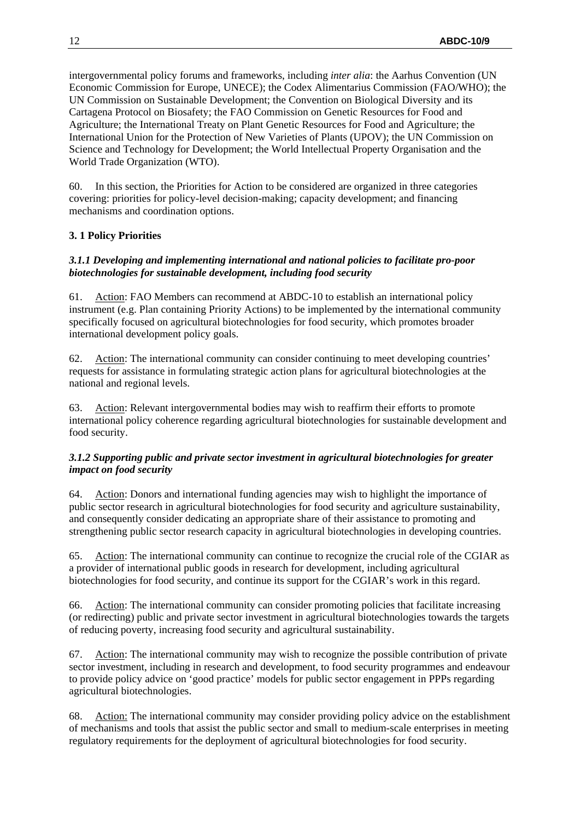intergovernmental policy forums and frameworks, including *inter alia*: the Aarhus Convention (UN Economic Commission for Europe, UNECE); the Codex Alimentarius Commission (FAO/WHO); the UN Commission on Sustainable Development; the Convention on Biological Diversity and its Cartagena Protocol on Biosafety; the FAO Commission on Genetic Resources for Food and Agriculture; the International Treaty on Plant Genetic Resources for Food and Agriculture; the International Union for the Protection of New Varieties of Plants (UPOV); the UN Commission on Science and Technology for Development; the World Intellectual Property Organisation and the World Trade Organization (WTO).

60. In this section, the Priorities for Action to be considered are organized in three categories covering: priorities for policy-level decision-making; capacity development; and financing mechanisms and coordination options.

# **3. 1 Policy Priorities**

### *3.1.1 Developing and implementing international and national policies to facilitate pro-poor biotechnologies for sustainable development, including food security*

61. Action: FAO Members can recommend at ABDC-10 to establish an international policy instrument (e.g. Plan containing Priority Actions) to be implemented by the international community specifically focused on agricultural biotechnologies for food security, which promotes broader international development policy goals.

62. Action: The international community can consider continuing to meet developing countries' requests for assistance in formulating strategic action plans for agricultural biotechnologies at the national and regional levels.

63. Action: Relevant intergovernmental bodies may wish to reaffirm their efforts to promote international policy coherence regarding agricultural biotechnologies for sustainable development and food security.

# *3.1.2 Supporting public and private sector investment in agricultural biotechnologies for greater impact on food security*

64. Action: Donors and international funding agencies may wish to highlight the importance of public sector research in agricultural biotechnologies for food security and agriculture sustainability, and consequently consider dedicating an appropriate share of their assistance to promoting and strengthening public sector research capacity in agricultural biotechnologies in developing countries.

65. Action: The international community can continue to recognize the crucial role of the CGIAR as a provider of international public goods in research for development, including agricultural biotechnologies for food security, and continue its support for the CGIAR's work in this regard.

66. Action: The international community can consider promoting policies that facilitate increasing (or redirecting) public and private sector investment in agricultural biotechnologies towards the targets of reducing poverty, increasing food security and agricultural sustainability.

67. Action: The international community may wish to recognize the possible contribution of private sector investment, including in research and development, to food security programmes and endeavour to provide policy advice on 'good practice' models for public sector engagement in PPPs regarding agricultural biotechnologies.

68. Action: The international community may consider providing policy advice on the establishment of mechanisms and tools that assist the public sector and small to medium-scale enterprises in meeting regulatory requirements for the deployment of agricultural biotechnologies for food security.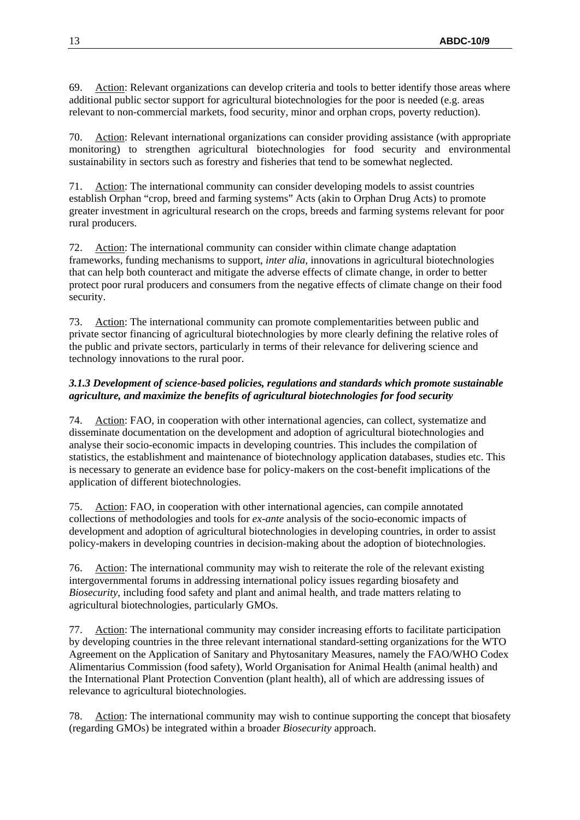69. Action: Relevant organizations can develop criteria and tools to better identify those areas where additional public sector support for agricultural biotechnologies for the poor is needed (e.g. areas relevant to non-commercial markets, food security, minor and orphan crops, poverty reduction).

70. Action: Relevant international organizations can consider providing assistance (with appropriate monitoring) to strengthen agricultural biotechnologies for food security and environmental sustainability in sectors such as forestry and fisheries that tend to be somewhat neglected.

71. Action: The international community can consider developing models to assist countries establish Orphan "crop, breed and farming systems" Acts (akin to Orphan Drug Acts) to promote greater investment in agricultural research on the crops, breeds and farming systems relevant for poor rural producers.

72. Action: The international community can consider within climate change adaptation frameworks, funding mechanisms to support, *inter alia,* innovations in agricultural biotechnologies that can help both counteract and mitigate the adverse effects of climate change, in order to better protect poor rural producers and consumers from the negative effects of climate change on their food security.

73. Action: The international community can promote complementarities between public and private sector financing of agricultural biotechnologies by more clearly defining the relative roles of the public and private sectors, particularly in terms of their relevance for delivering science and technology innovations to the rural poor.

# *3.1.3 Development of science-based policies, regulations and standards which promote sustainable agriculture, and maximize the benefits of agricultural biotechnologies for food security*

74. Action: FAO, in cooperation with other international agencies, can collect, systematize and disseminate documentation on the development and adoption of agricultural biotechnologies and analyse their socio-economic impacts in developing countries. This includes the compilation of statistics, the establishment and maintenance of biotechnology application databases, studies etc. This is necessary to generate an evidence base for policy-makers on the cost-benefit implications of the application of different biotechnologies.

75. Action: FAO, in cooperation with other international agencies, can compile annotated collections of methodologies and tools for *ex-ante* analysis of the socio-economic impacts of development and adoption of agricultural biotechnologies in developing countries, in order to assist policy-makers in developing countries in decision-making about the adoption of biotechnologies.

76. Action: The international community may wish to reiterate the role of the relevant existing intergovernmental forums in addressing international policy issues regarding biosafety and *Biosecurity*, including food safety and plant and animal health, and trade matters relating to agricultural biotechnologies, particularly GMOs.

77. Action: The international community may consider increasing efforts to facilitate participation by developing countries in the three relevant international standard-setting organizations for the WTO Agreement on the Application of Sanitary and Phytosanitary Measures, namely the FAO/WHO Codex Alimentarius Commission (food safety), World Organisation for Animal Health (animal health) and the International Plant Protection Convention (plant health), all of which are addressing issues of relevance to agricultural biotechnologies.

Action: The international community may wish to continue supporting the concept that biosafety (regarding GMOs) be integrated within a broader *Biosecurity* approach.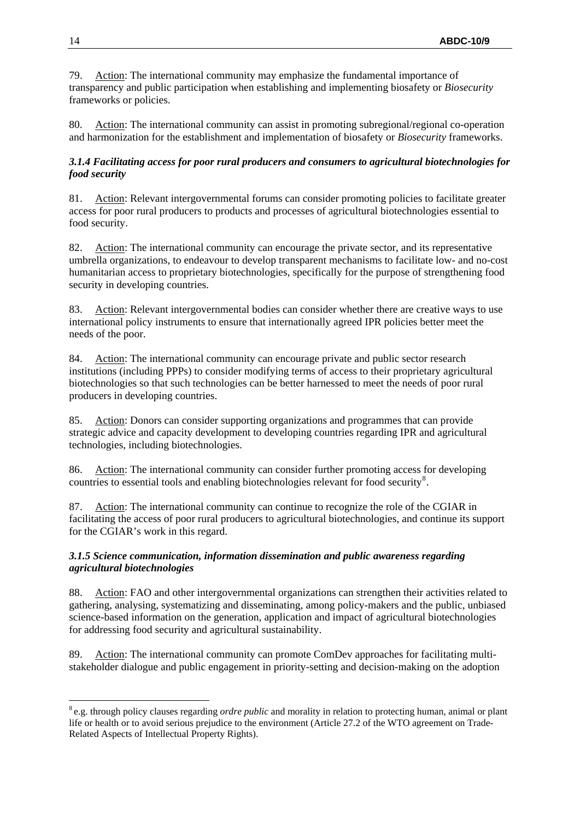79. Action: The international community may emphasize the fundamental importance of transparency and public participation when establishing and implementing biosafety or *Biosecurity* frameworks or policies.

80. Action: The international community can assist in promoting subregional/regional co-operation and harmonization for the establishment and implementation of biosafety or *Biosecurity* frameworks.

### *3.1.4 Facilitating access for poor rural producers and consumers to agricultural biotechnologies for food security*

81. Action: Relevant intergovernmental forums can consider promoting policies to facilitate greater access for poor rural producers to products and processes of agricultural biotechnologies essential to food security.

82. Action: The international community can encourage the private sector, and its representative umbrella organizations, to endeavour to develop transparent mechanisms to facilitate low- and no-cost humanitarian access to proprietary biotechnologies, specifically for the purpose of strengthening food security in developing countries.

83. Action: Relevant intergovernmental bodies can consider whether there are creative ways to use international policy instruments to ensure that internationally agreed IPR policies better meet the needs of the poor.

84. Action: The international community can encourage private and public sector research institutions (including PPPs) to consider modifying terms of access to their proprietary agricultural biotechnologies so that such technologies can be better harnessed to meet the needs of poor rural producers in developing countries.

85. Action: Donors can consider supporting organizations and programmes that can provide strategic advice and capacity development to developing countries regarding IPR and agricultural technologies, including biotechnologies.

86. Action: The international community can consider further promoting access for developing countries to essential tools and enabling biotechnologies relevant for food security $8$ .

87. Action: The international community can continue to recognize the role of the CGIAR in facilitating the access of poor rural producers to agricultural biotechnologies, and continue its support for the CGIAR's work in this regard.

# *3.1.5 Science communication, information dissemination and public awareness regarding agricultural biotechnologies*

88. Action: FAO and other intergovernmental organizations can strengthen their activities related to gathering, analysing, systematizing and disseminating, among policy-makers and the public, unbiased science-based information on the generation, application and impact of agricultural biotechnologies for addressing food security and agricultural sustainability.

89. Action: The international community can promote ComDev approaches for facilitating multistakeholder dialogue and public engagement in priority-setting and decision-making on the adoption

1

<span id="page-13-0"></span><sup>8</sup> e.g. through policy clauses regarding *ordre public* and morality in relation to protecting human, animal or plant life or health or to avoid serious prejudice to the environment (Article 27.2 of the WTO agreement on Trade-Related Aspects of Intellectual Property Rights).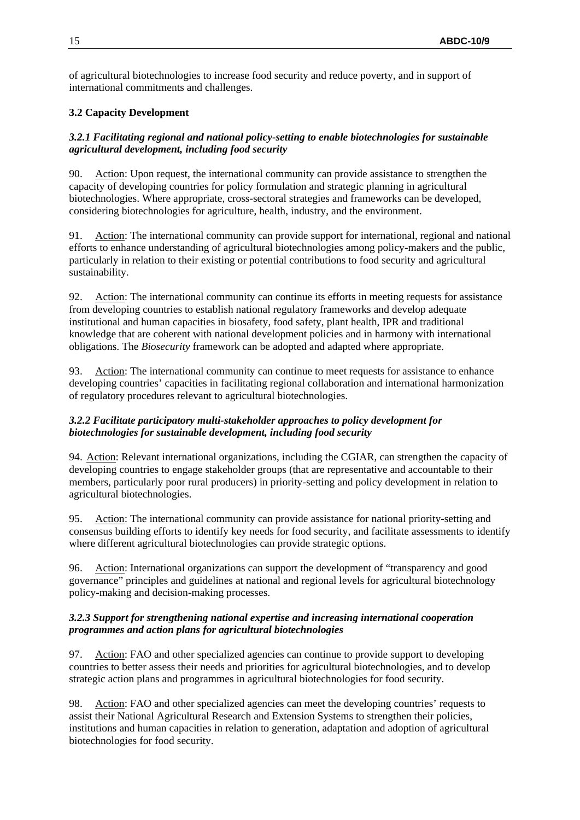of agricultural biotechnologies to increase food security and reduce poverty, and in support of international commitments and challenges.

# **3.2 Capacity Development**

# *3.2.1 Facilitating regional and national policy-setting to enable biotechnologies for sustainable agricultural development, including food security*

90. Action: Upon request, the international community can provide assistance to strengthen the capacity of developing countries for policy formulation and strategic planning in agricultural biotechnologies. Where appropriate, cross-sectoral strategies and frameworks can be developed, considering biotechnologies for agriculture, health, industry, and the environment.

91. Action: The international community can provide support for international, regional and national efforts to enhance understanding of agricultural biotechnologies among policy-makers and the public, particularly in relation to their existing or potential contributions to food security and agricultural sustainability.

92. Action: The international community can continue its efforts in meeting requests for assistance from developing countries to establish national regulatory frameworks and develop adequate institutional and human capacities in biosafety, food safety, plant health, IPR and traditional knowledge that are coherent with national development policies and in harmony with international obligations. The *Biosecurity* framework can be adopted and adapted where appropriate.

93. Action: The international community can continue to meet requests for assistance to enhance developing countries' capacities in facilitating regional collaboration and international harmonization of regulatory procedures relevant to agricultural biotechnologies.

# *3.2.2 Facilitate participatory multi-stakeholder approaches to policy development for biotechnologies for sustainable development, including food security*

94. Action: Relevant international organizations, including the CGIAR, can strengthen the capacity of developing countries to engage stakeholder groups (that are representative and accountable to their members, particularly poor rural producers) in priority-setting and policy development in relation to agricultural biotechnologies.

95. Action: The international community can provide assistance for national priority-setting and consensus building efforts to identify key needs for food security, and facilitate assessments to identify where different agricultural biotechnologies can provide strategic options.

96. Action: International organizations can support the development of "transparency and good governance" principles and guidelines at national and regional levels for agricultural biotechnology policy-making and decision-making processes.

# *3.2.3 Support for strengthening national expertise and increasing international cooperation programmes and action plans for agricultural biotechnologies*

97. Action: FAO and other specialized agencies can continue to provide support to developing countries to better assess their needs and priorities for agricultural biotechnologies, and to develop strategic action plans and programmes in agricultural biotechnologies for food security.

98. Action: FAO and other specialized agencies can meet the developing countries' requests to assist their National Agricultural Research and Extension Systems to strengthen their policies, institutions and human capacities in relation to generation, adaptation and adoption of agricultural biotechnologies for food security.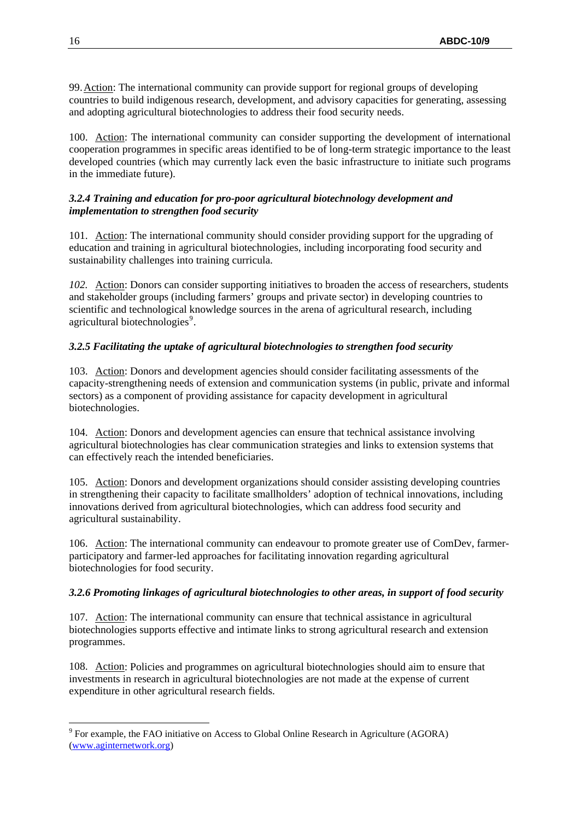99.Action: The international community can provide support for regional groups of developing countries to build indigenous research, development, and advisory capacities for generating, assessing and adopting agricultural biotechnologies to address their food security needs.

100. Action: The international community can consider supporting the development of international cooperation programmes in specific areas identified to be of long-term strategic importance to the least developed countries (which may currently lack even the basic infrastructure to initiate such programs in the immediate future).

### *3.2.4 Training and education for pro-poor agricultural biotechnology development and implementation to strengthen food security*

101. Action: The international community should consider providing support for the upgrading of education and training in agricultural biotechnologies, including incorporating food security and sustainability challenges into training curricula.

*102.* Action: Donors can consider supporting initiatives to broaden the access of researchers, students and stakeholder groups (including farmers' groups and private sector) in developing countries to scientific and technological knowledge sources in the arena of agricultural research, including agricultural biotechnologies<sup>[9](#page-15-0)</sup>.

# *3.2.5 Facilitating the uptake of agricultural biotechnologies to strengthen food security*

103. Action: Donors and development agencies should consider facilitating assessments of the capacity-strengthening needs of extension and communication systems (in public, private and informal sectors) as a component of providing assistance for capacity development in agricultural biotechnologies.

104. Action: Donors and development agencies can ensure that technical assistance involving agricultural biotechnologies has clear communication strategies and links to extension systems that can effectively reach the intended beneficiaries.

105. Action: Donors and development organizations should consider assisting developing countries in strengthening their capacity to facilitate smallholders' adoption of technical innovations, including innovations derived from agricultural biotechnologies, which can address food security and agricultural sustainability.

106. Action: The international community can endeavour to promote greater use of ComDev, farmerparticipatory and farmer-led approaches for facilitating innovation regarding agricultural biotechnologies for food security.

#### *3.2.6 Promoting linkages of agricultural biotechnologies to other areas, in support of food security*

107. Action: The international community can ensure that technical assistance in agricultural biotechnologies supports effective and intimate links to strong agricultural research and extension programmes.

108. Action: Policies and programmes on agricultural biotechnologies should aim to ensure that investments in research in agricultural biotechnologies are not made at the expense of current expenditure in other agricultural research fields.

<span id="page-15-0"></span><sup>&</sup>lt;u>.</u> <sup>9</sup> For example, the FAO initiative on Access to Global Online Research in Agriculture (AGORA) [\(www.aginternetwork.org\)](http://www.aginternetwork.org/)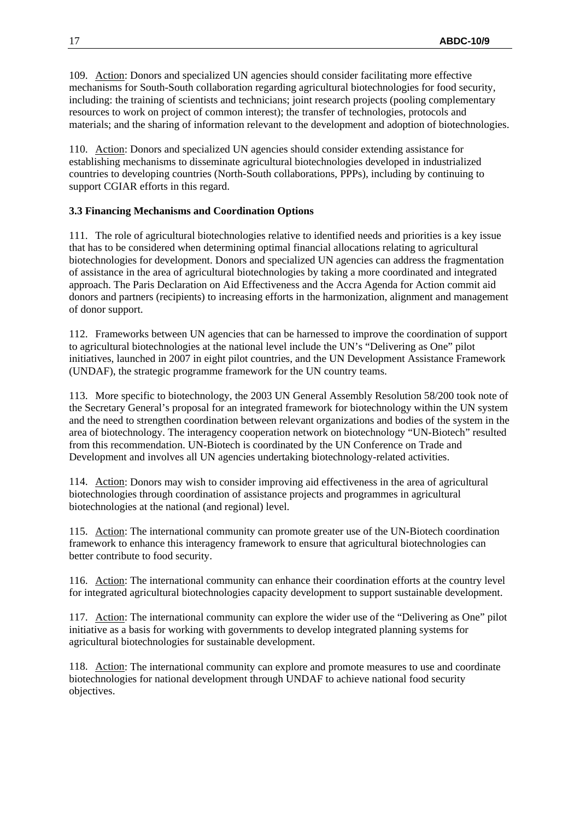109. Action: Donors and specialized UN agencies should consider facilitating more effective mechanisms for South-South collaboration regarding agricultural biotechnologies for food security, including: the training of scientists and technicians; joint research projects (pooling complementary resources to work on project of common interest); the transfer of technologies, protocols and materials; and the sharing of information relevant to the development and adoption of biotechnologies.

110. Action: Donors and specialized UN agencies should consider extending assistance for establishing mechanisms to disseminate agricultural biotechnologies developed in industrialized countries to developing countries (North-South collaborations, PPPs), including by continuing to support CGIAR efforts in this regard.

#### **3.3 Financing Mechanisms and Coordination Options**

111. The role of agricultural biotechnologies relative to identified needs and priorities is a key issue that has to be considered when determining optimal financial allocations relating to agricultural biotechnologies for development. Donors and specialized UN agencies can address the fragmentation of assistance in the area of agricultural biotechnologies by taking a more coordinated and integrated approach. The Paris Declaration on Aid Effectiveness and the Accra Agenda for Action commit aid donors and partners (recipients) to increasing efforts in the harmonization, alignment and management of donor support.

112. Frameworks between UN agencies that can be harnessed to improve the coordination of support to agricultural biotechnologies at the national level include the UN's "Delivering as One" pilot initiatives, launched in 2007 in eight pilot countries, and the UN Development Assistance Framework (UNDAF), the strategic programme framework for the UN country teams.

113. More specific to biotechnology, the 2003 UN General Assembly Resolution 58/200 took note of the Secretary General's proposal for an integrated framework for biotechnology within the UN system and the need to strengthen coordination between relevant organizations and bodies of the system in the area of biotechnology. The interagency cooperation network on biotechnology "UN-Biotech" resulted from this recommendation. UN-Biotech is coordinated by the UN Conference on Trade and Development and involves all UN agencies undertaking biotechnology-related activities.

114. Action: Donors may wish to consider improving aid effectiveness in the area of agricultural biotechnologies through coordination of assistance projects and programmes in agricultural biotechnologies at the national (and regional) level.

115. Action: The international community can promote greater use of the UN-Biotech coordination framework to enhance this interagency framework to ensure that agricultural biotechnologies can better contribute to food security.

116. Action: The international community can enhance their coordination efforts at the country level for integrated agricultural biotechnologies capacity development to support sustainable development.

117. Action: The international community can explore the wider use of the "Delivering as One" pilot initiative as a basis for working with governments to develop integrated planning systems for agricultural biotechnologies for sustainable development.

118. Action: The international community can explore and promote measures to use and coordinate biotechnologies for national development through UNDAF to achieve national food security objectives.